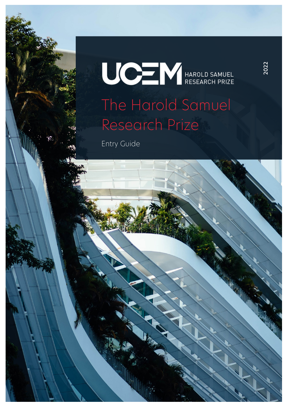# **UCEN** HAROLD SAMUEL The Harold Samuel Research Prize

Entry Guide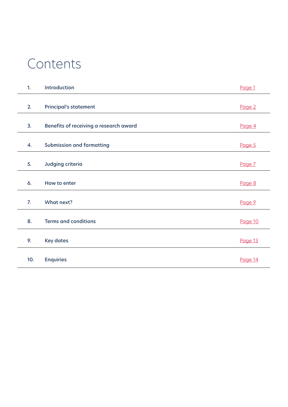### Contents

| 1.          | Introduction                           | Page 1  |
|-------------|----------------------------------------|---------|
| 2.          | <b>Principal's statement</b>           | Page 2  |
| 3.          | Benefits of receiving a research award | Page 4  |
| 4.          | <b>Submission and formatting</b>       | Page 5  |
| 5.          | Judging criteria                       | Page 7  |
| 6.          | How to enter                           | Page 8  |
| $Z_{\cdot}$ | What next?                             | Page 9  |
| 8.          | <b>Terms and conditions</b>            | Page 10 |
| 9.          | <b>Key dates</b>                       | Page 13 |
| 10.         | <b>Enquiries</b>                       | Page 14 |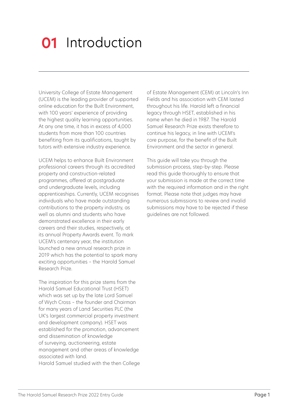### <span id="page-2-0"></span>**01** Introduction

University College of Estate Management (UCEM) is the leading provider of supported online education for the Built Environment, with 100 years' experience of providing the highest quality learning opportunities. At any one time, it has in excess of 4,000 students from more than 100 countries benefiting from its qualifications, taught by tutors with extensive industry experience.

UCEM helps to enhance Built Environment professional careers through its accredited property and construction-related programmes, offered at postgraduate and undergraduate levels, including apprenticeships. Currently, UCEM recognises individuals who have made outstanding contributions to the property industry, as well as alumni and students who have demonstrated excellence in their early careers and their studies, respectively, at its annual Property Awards event. To mark UCEM's centenary year, the institution launched a new annual research prize in 2019 which has the potential to spark many exciting opportunities – the Harold Samuel Research Prize.

The inspiration for this prize stems from the Harold Samuel Educational Trust (HSET) which was set up by the late Lord Samuel of Wych Cross – the founder and Chairman for many years of Land Securities PLC (the UK's largest commercial property investment and development company). HSET was established for the promotion, advancement and dissemination of knowledge of surveying, auctioneering, estate management and other areas of knowledge associated with land. Harold Samuel studied with the then College of Estate Management (CEM) at Lincoln's Inn Fields and his association with CEM lasted throughout his life. Harold left a financial legacy through HSET, established in his name when he died in 1987. The Harold Samuel Research Prize exists therefore to continue his legacy, in line with UCEM's core purpose, for the benefit of the Built Environment and the sector in general.

This guide will take you through the submission process, step-by-step. Please read this guide thoroughly to ensure that your submission is made at the correct time with the required information and in the right format. Please note that judges may have numerous submissions to review and invalid submissions may have to be rejected if these guidelines are not followed.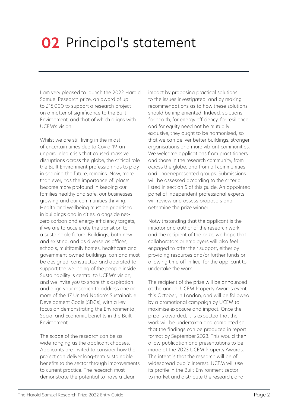### <span id="page-3-0"></span>**02** Principal's statement

I am very pleased to launch the 2022 Harold Samuel Research prize, an award of up to £15,000 to support a research project on a matter of significance to the Built Environment, and that of which aligns with UCEM's vision.

Whilst we are still living in the midst of uncertain times due to Covid-19, an unparalleled crisis that caused massive disruptions across the globe, the critical role the Built Environment profession has to play in shaping the future, remains. Now, more than ever, has the importance of 'place' become more profound in keeping our families healthy and safe, our businesses growing and our communities thriving. Health and wellbeing must be prioritised in buildings and in cities, alongside netzero carbon and energy efficiency targets, if we are to accelerate the transition to a sustainable future. Buildings, both new and existing, and as diverse as offices, schools, multifamily homes, healthcare and government-owned buildings, can and must be designed, constructed and operated to support the wellbeing of the people inside. Sustainability is central to UCEM's vision, and we invite you to share this aspiration and align your research to address one or more of the 17 United Nation's Sustainable Development Goals (SDGs), with a key focus on demonstrating the Environmental, Social and Economic benefits in the Built Environment.

The scope of the research can be as wide-ranging as the applicant chooses. Applicants are invited to consider how the project can deliver long-term sustainable benefits to the sector through improvements to current practice. The research must demonstrate the potential to have a clear

impact by proposing practical solutions to the issues investigated, and by making recommendations as to how these solutions should be implemented. Indeed, solutions for health, for energy efficiency, for resilience and for equity need not be mutually exclusive, they ought to be harmonised, so that we can deliver better buildings, stronger organisations and more vibrant communities. We welcome applications from practitioners and those in the research community, from across the globe, and from all communities and underrepresented groups. Submissions will be assessed according to the criteria listed in section 5 of this guide. An appointed panel of independent professional experts will review and assess proposals and determine the prize winner.

Notwithstanding that the applicant is the initiator and author of the research work and the recipient of the prize, we hope that collaborators or employers will also feel engaged to offer their support, either by providing resources and/or further funds or allowing time off in lieu, for the applicant to undertake the work.

The recipient of the prize will be announced at the annual UCEM Property Awards event this October, in London, and will be followed by a promotional campaign by UCEM to maximise exposure and impact. Once the prize is awarded, it is expected that the work will be undertaken and completed so that the findings can be produced in report format by September 2023. This would then allow publication and presentations to be made at the 2023 UCEM Property Awards. The intent is that the research will be of widespread public interest. UCEM will use its profile in the Built Environment sector to market and distribute the research, and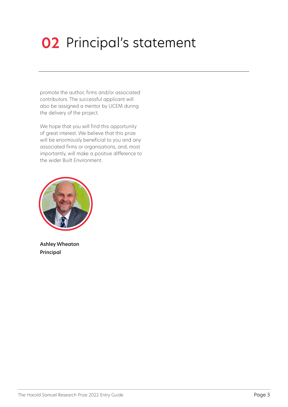# **02** Principal's statement

promote the author, firms and/or associated contributors. The successful applicant will also be assigned a mentor by UCEM during the delivery of the project.

We hope that you will find this opportunity of great interest. We believe that this prize will be enormously beneficial to you and any associated firms or organisations, and, most importantly, will make a positive difference to the wider Built Environment.



Ashley Wheaton Principal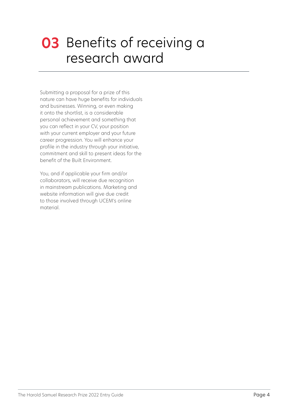### <span id="page-5-0"></span>**03** Benefits of receiving a research award

Submitting a proposal for a prize of this nature can have huge benefits for individuals and businesses. Winning, or even making it onto the shortlist, is a considerable personal achievement and something that you can reflect in your CV, your position with your current employer and your future career progression. You will enhance your profile in the industry through your initiative, commitment and skill to present ideas for the benefit of the Built Environment.

You, and if applicable your firm and/or collaborators, will receive due recognition in mainstream publications. Marketing and website information will give due credit to those involved through UCEM's online material.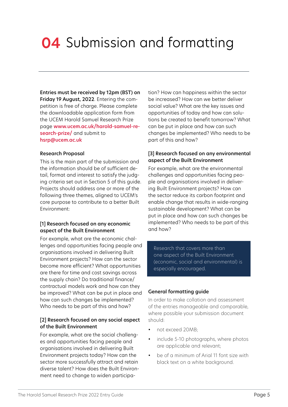### <span id="page-6-0"></span>**04** Submission and formatting

Entries must be received by 12pm (BST) on Friday 19 August, 2022. Entering the competition is free of charge. Please complete the downloadable application form from the UCEM Harold Samuel Research Prize page [www.ucem.ac.uk/harold-samuel-re](https://www.ucem.ac.uk/harold-samuel-research-prize/)[search-prize/](https://www.ucem.ac.uk/harold-samuel-research-prize/) and submit to [hsrp@ucem.ac.uk](mailto:hsrp%40ucem.ac.uk?subject=)

#### Research Proposal

This is the main part of the submission and the information should be of sufficient detail, format and interest to satisfy the judging criteria set out in Section 5 of this guide. Projects should address one or more of the following three themes, aligned to UCEM's core purpose to contribute to a better Built Environment:

#### [1] Research focused on any economic aspect of the Built Environment

For example, what are the economic challenges and opportunities facing people and organisations involved in delivering Built Environment projects? How can the sector become more efficient? What opportunities are there for time and cost savings across the supply chain? Do traditional finance/ contractual models work and how can they be improved? What can be put in place and how can such changes be implemented? Who needs to be part of this and how?

#### [2] Research focused on any social aspect of the Built Environment

For example, what are the social challenges and opportunities facing people and organisations involved in delivering Built Environment projects today? How can the sector more successfully attract and retain diverse talent? How does the Built Environment need to change to widen participa-

tion? How can happiness within the sector be increased? How can we better deliver social value? What are the key issues and opportunities of today and how can solutions be created to benefit tomorrow? What can be put in place and how can such changes be implemented? Who needs to be part of this and how?

#### [3] Research focused on any environmental aspect of the Built Environment

For example, what are the environmental challenges and opportunities facing people and organisations involved in delivering Built Environment projects? How can the sector reduce its carbon footprint and enable change that results in wide-ranging sustainable development? What can be put in place and how can such changes be implemented? Who needs to be part of this and how?

Research that covers more than one aspect of the Built Environment (economic, social and environmental) is especially encouraged.

#### General formatting guide

In order to make collation and assessment of the entries manageable and comparable, where possible your submission document should:

- not exceed 20MB;
- include 5-10 photographs, where photos are applicable and relevant;
- be of a minimum of Arial 11 font size with black text on a white background.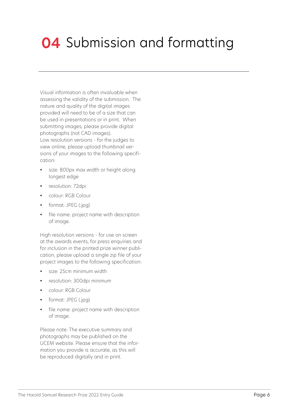### **04** Submission and formatting

Visual information is often invaluable when assessing the validity of the submission. The nature and quality of the digital images provided will need to be of a size that can be used in presentations or in print. When submitting images, please provide digital photographs (not CAD images). Low resolution versions - for the judges to view online, please upload thumbnail versions of your images to the following specification:

- size: 800px max width or height along longest edge
- resolution: 72dpi
- colour: RGB Colour
- format: JPEG (.jpg)
- file name: project name with description of image.

High resolution versions - for use on screen at the awards events, for press enquiries and for inclusion in the printed prize winner publication, please upload a single zip file of your project images to the following specification:

- size: 25cm minimum width
- resolution: 300dpi minimum
- colour: RGB Colour
- format: JPEG (.jpg)
- file name: project name with description of image.

Please note: The executive summary and photographs may be published on the UCEM website. Please ensure that the information you provide is accurate, as this will be reproduced digitally and in print.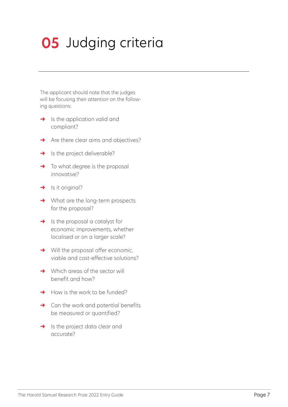# <span id="page-8-0"></span>**05** Judging criteria

The applicant should note that the judges will be focusing their attention on the following questions:

- $\rightarrow$  Is the application valid and compliant?
- **→** Are there clear aims and objectives?
- $\rightarrow$  Is the project deliverable?
- $\rightarrow$  To what degree is the proposal innovative?
- $\rightarrow$  Is it original?
- **→** What are the long-term prospects for the proposal?
- $\rightarrow$  Is the proposal a catalyst for economic improvements, whether localised or on a larger scale?
- **→** Will the proposal offer economic, viable and cost-effective solutions?
- **→** Which areas of the sector will benefit and how?
- $\rightarrow$  How is the work to be funded?
- $\rightarrow$  Can the work and potential benefits be measured or quantified?
- → Is the project data clear and accurate?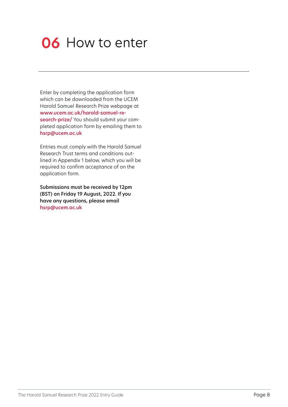### <span id="page-9-0"></span>**06** How to enter

Enter by completing the application form which can be downloaded from the UCEM Harold Samuel Research Prize webpage at [www.ucem.ac.uk/harold-samuel-re](https://www.ucem.ac.uk/harold-samuel-research-prize/)[search-prize/](https://www.ucem.ac.uk/harold-samuel-research-prize/) You should submit your completed application form by emailing them to [hsrp@ucem.ac.uk](mailto:hsrp%40ucem.ac.uk?subject=)

Entries must comply with the Harold Samuel Research Trust terms and conditions outlined in Appendix 1 below, which you will be required to confirm acceptance of on the application form.

Submissions must be received by 12pm (BST) on Friday 19 August, 2022. If you have any questions, please email [hsrp@ucem.ac.uk](mailto:hsrp%40ucem.ac.uk?subject=)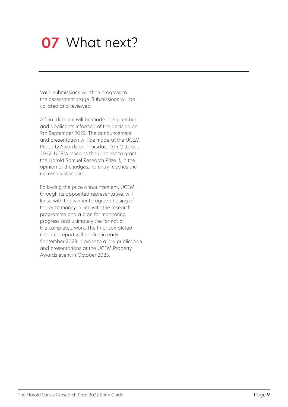### <span id="page-10-0"></span>**07** What next?

Valid submissions will then progress to the assessment stage. Submissions will be collated and reviewed.

A final decision will be made in September and applicants informed of the decision on 9th September 2022. The announcement and presentation will be made at the UCEM Property Awards on Thursday, 13th October, 2022. UCEM reserves the right not to grant the Harold Samuel Research Prize if, in the opinion of the judges, no entry reaches the necessary standard.

Following the prize announcement, UCEM, through its appointed representative, will liaise with the winner to agree phasing of the prize money in line with the research programme and a plan for monitoring progress and ultimately the format of the completed work. The final completed research report will be due in early September 2023 in order to allow publication and presentations at the UCEM Property Awards event in October 2023.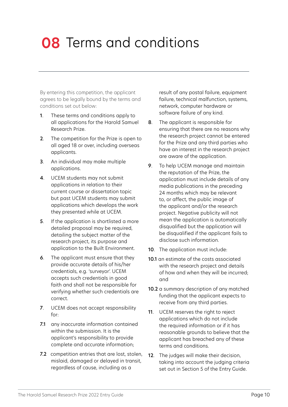### <span id="page-11-0"></span>**08** Terms and conditions

By entering this competition, the applicant agrees to be legally bound by the terms and conditions set out below:

- 1. These terms and conditions apply to all applications for the Harold Samuel Research Prize.
- 2. The competition for the Prize is open to all aged 18 or over, including overseas applicants.
- 3. An individual may make multiple applications.
- 4. UCEM students may not submit applications in relation to their current course or dissertation topic but past UCEM students may submit applications which develops the work they presented while at UCEM.
- 5. If the application is shortlisted a more detailed proposal may be required, detailing the subject matter of the research project, its purpose and application to the Built Environment.
- 6. The applicant must ensure that they provide accurate details of his/her credentials, e.g. 'surveyor'. UCEM accepts such credentials in good faith and shall not be responsible for verifying whether such credentials are correct.
- 7. UCEM does not accept responsibility for:
- 7.1 any inaccurate information contained within the submission. It is the applicant's responsibility to provide complete and accurate information;
- 7.2 competition entries that are lost, stolen, mislaid, damaged or delayed in transit, regardless of cause, including as a

result of any postal failure, equipment failure, technical malfunction, systems, network, computer hardware or software failure of any kind.

- 8. The applicant is responsible for ensuring that there are no reasons why the research project cannot be entered for the Prize and any third parties who have an interest in the research project are aware of the application.
- 9. To help UCEM manage and maintain the reputation of the Prize, the application must include details of any media publications in the preceding 24 months which may be relevant to, or affect, the public image of the applicant and/or the research project. Negative publicity will not mean the application is automatically disqualified but the application will be disqualified if the applicant fails to disclose such information.
- 10. The application must include:
- 10.1 an estimate of the costs associated with the research project and details of how and when they will be incurred; and
- 10.2 a summary description of any matched funding that the applicant expects to receive from any third parties.
- 11. UCEM reserves the right to reject applications which do not include the required information or if it has reasonable grounds to believe that the applicant has breached any of these terms and conditions.
- 12. The judges will make their decision. taking into account the judging criteria set out in Section 5 of the Entry Guide.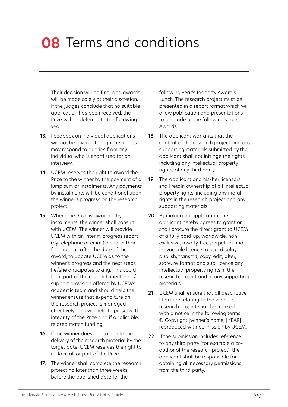### **08** Terms and conditions

Their decision will be final and awards will be made solely at their discretion. If the judges conclude that no suitable application has been received, the Prize will be deferred to the following year.

- 13. Feedback on individual applications will not be given although the judges may respond to queries from any individual who is shortlisted for an interview.
- 14. UCEM reserves the right to award the Prize to the winner by the payment of a lump sum or instalments. Any payments by instalments will be conditional upon the winner's progress on the research project.
- 15. Where the Prize is awarded by instalments, the winner shall consult with UCEM. The winner will provide UCEM with an interim progress report (by telephone or email), no later than four months after the date of the award, to update UCEM as to the winner's progress and the next steps he/she anticipates taking. This could form part of the research mentoring/ support provision offered by UCEM's academic team and should help the winner ensure that expenditure on the research project is managed effectively. This will help to preserve the integrity of the Prize and if applicable, related match funding.
- 16. If the winner does not complete the delivery of the research material by the target date, UCEM reserves the right to reclaim all or part of the Prize.
- 17. The winner shall complete the research project no later than three weeks before the published date for the

following year's Property Award's Lunch. The research project must be presented in a report format which will allow publication and presentations to be made at the following year's Awards.

- 18. The applicant warrants that the content of the research project and any supporting materials submitted by the applicant shall not infringe the rights, including any intellectual property rights, of any third party.
- 19. The applicant and his/her licensors shall retain ownership of all intellectual property rights, including any moral rights in the research project and any supporting materials.
- 20. By making an application, the applicant hereby agrees to grant or shall procure the direct grant to UCEM of a fully paid-up, worldwide, nonexclusive, royalty-free perpetual and irrevocable licence to use, display, publish, transmit, copy, edit, alter, store, re-format and sub-licence any intellectual property rights in the research project and in any supporting materials.
- 21. UCEM shall ensure that all descriptive literature relating to the winner's research project shall be marked with a notice in the following terms: © Copyright [winner's name] [YEAR] reproduced with permission by UCEM.
- 22. If the submission includes reference to any third party (for example a coauthor of the research project), the applicant shall be responsible for obtaining all necessary permissions from the third party.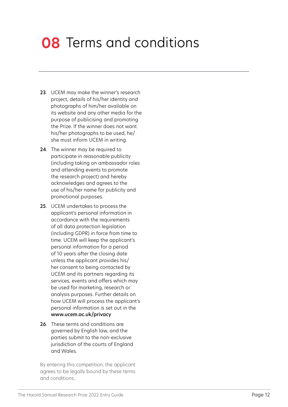### **08** Terms and conditions

- 23. UCEM may make the winner's research project, details of his/her identity and photographs of him/her available on its website and any other media for the purpose of publicising and promoting the Prize. If the winner does not want his/her photographs to be used, he/ she must inform UCEM in writing.
- 24. The winner may be required to participate in reasonable publicity (including taking on ambassador roles and attending events to promote the research project) and hereby acknowledges and agrees to the use of his/her name for publicity and promotional purposes.
- 25. UCEM undertakes to process the applicant's personal information in accordance with the requirements of all data protection legislation (including GDPR) in force from time to time. UCEM will keep the applicant's personal information for a period of 10 years after the closing date unless the applicant provides his/ her consent to being contacted by UCEM and its partners regarding its services, events and offers which may be used for marketing, research or analysis purposes. Further details on how UCEM will process the applicant's personal information is set out in the <www.ucem.ac.uk/privacy>
- 26. These terms and conditions are governed by English law, and the parties submit to the non-exclusive jurisdiction of the courts of England and Wales.

By entering this competition, the applicant agrees to be legally bound by these terms and conditions.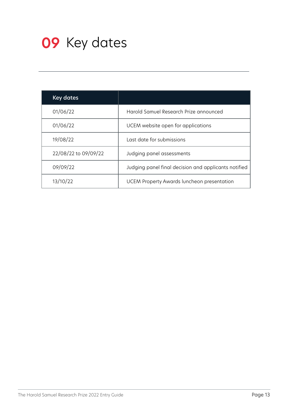<span id="page-14-0"></span>

| <b>Key dates</b>     |                                                      |
|----------------------|------------------------------------------------------|
| 01/06/22             | Harold Samuel Research Prize announced               |
| 01/06/22             | UCEM website open for applications                   |
| 19/08/22             | Last date for submissions                            |
| 22/08/22 to 09/09/22 | Judging panel assessments                            |
| 09/09/22             | Judging panel final decision and applicants notified |
| 13/10/22             | UCEM Property Awards luncheon presentation           |